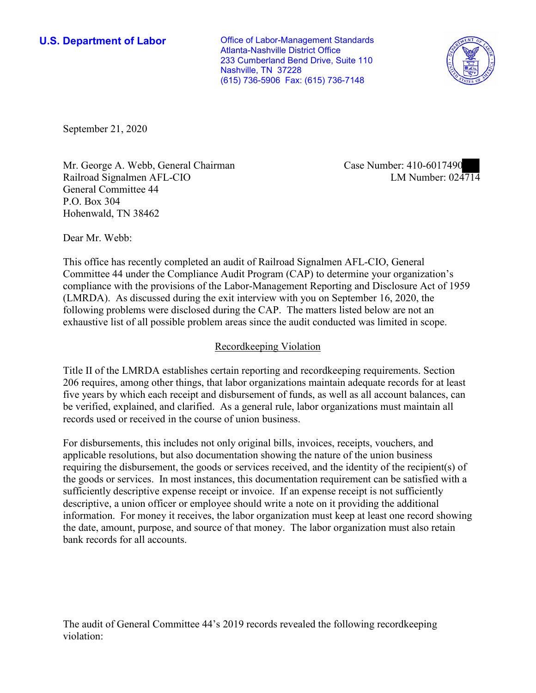**U.S. Department of Labor Conservative Conservative Conservative Conservative U.S.** Department of Labor Atlanta-Nashville District Office 233 Cumberland Bend Drive, Suite 110 Nashville, TN 37228 (615) 736-5906 Fax: (615) 736-7148



September 21, 2020

Mr. George A. Webb, General Chairman Railroad Signalmen AFL-CIO General Committee 44 P.O. Box 304 Hohenwald, TN 38462

Case Number: 410-6017490 LM Number: 024714

Dear Mr. Webb:

This office has recently completed an audit of Railroad Signalmen AFL-CIO, General Committee 44 under the Compliance Audit Program (CAP) to determine your organization's compliance with the provisions of the Labor-Management Reporting and Disclosure Act of 1959 (LMRDA). As discussed during the exit interview with you on September 16, 2020, the following problems were disclosed during the CAP. The matters listed below are not an exhaustive list of all possible problem areas since the audit conducted was limited in scope.

## Recordkeeping Violation

Title II of the LMRDA establishes certain reporting and recordkeeping requirements. Section 206 requires, among other things, that labor organizations maintain adequate records for at least five years by which each receipt and disbursement of funds, as well as all account balances, can be verified, explained, and clarified. As a general rule, labor organizations must maintain all records used or received in the course of union business.

For disbursements, this includes not only original bills, invoices, receipts, vouchers, and applicable resolutions, but also documentation showing the nature of the union business requiring the disbursement, the goods or services received, and the identity of the recipient(s) of the goods or services. In most instances, this documentation requirement can be satisfied with a sufficiently descriptive expense receipt or invoice. If an expense receipt is not sufficiently descriptive, a union officer or employee should write a note on it providing the additional information. For money it receives, the labor organization must keep at least one record showing the date, amount, purpose, and source of that money. The labor organization must also retain bank records for all accounts.

The audit of General Committee 44's 2019 records revealed the following recordkeeping violation: